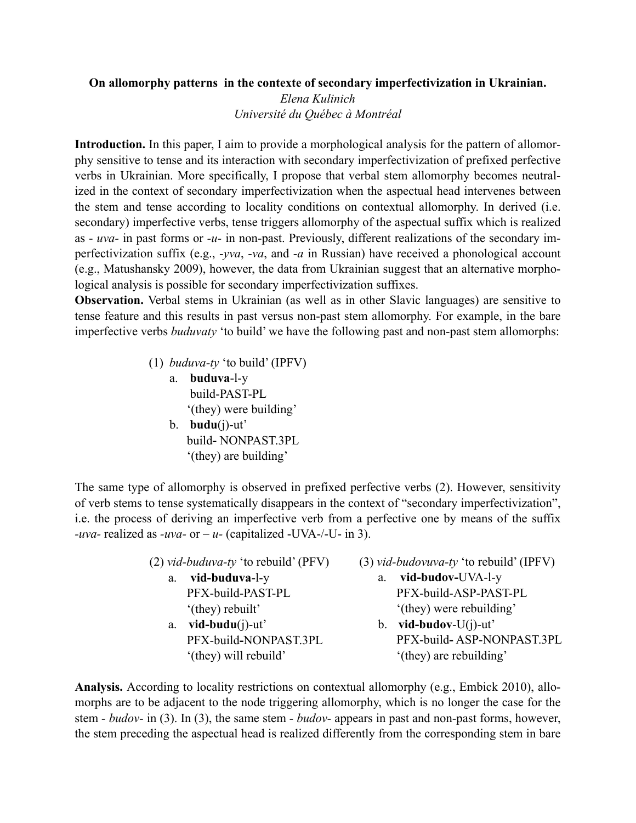## **On allomorphy patterns in the contexte of secondary imperfectivization in Ukrainian.**

*Elena Kulinich Université du Québec à Montréal*

**Introduction.** In this paper, I aim to provide a morphological analysis for the pattern of allomorphy sensitive to tense and its interaction with secondary imperfectivization of prefixed perfective verbs in Ukrainian. More specifically, I propose that verbal stem allomorphy becomes neutralized in the context of secondary imperfectivization when the aspectual head intervenes between the stem and tense according to locality conditions on contextual allomorphy. In derived (i.e. secondary) imperfective verbs, tense triggers allomorphy of the aspectual suffix which is realized as - *uva-* in past forms or *-u-* in non-past. Previously, different realizations of the secondary imperfectivization suffix (e.g., -*yva*, -*va*, and -*a* in Russian) have received a phonological account (e.g., Matushansky 2009), however, the data from Ukrainian suggest that an alternative morphological analysis is possible for secondary imperfectivization suffixes.

**Observation.** Verbal stems in Ukrainian (as well as in other Slavic languages) are sensitive to tense feature and this results in past versus non-past stem allomorphy. For example, in the bare imperfective verbs *buduvaty* 'to build' we have the following past and non-past stem allomorphs:

- (1) *buduva-ty* 'to build' (IPFV)
	- a. **buduva**-l-y build-PAST-PL '(they) were building' b. **budu**(j)-ut'
		- build**-** NONPAST.3PL '(they) are building'

The same type of allomorphy is observed in prefixed perfective verbs (2). However, sensitivity of verb stems to tense systematically disappears in the context of "secondary imperfectivization", i.e. the process of deriving an imperfective verb from a perfective one by means of the suffix *-uva-* realized as *-uva-* or *– u-* (capitalized -UVA-/-U- in 3).

- (2) *vid-buduva-ty* 'to rebuild' (PFV) a. **vid-buduva**-l-y PFX-build-PAST-PL '(they) rebuilt'
	- a. **vid-budu**(j)-ut' PFX-build**-**NONPAST.3PL '(they) will rebuild'
- (3) *vid-budovuva-ty* 'to rebuild' (IPFV)
	- a. **vid-budov-**UVA-l-y PFX-build-ASP-PAST-PL '(they) were rebuilding'
	- b. **vid-budov**-U(j)-ut' PFX-build**-** ASP-NONPAST.3PL '(they) are rebuilding'

**Analysis.** According to locality restrictions on contextual allomorphy (e.g., Embick 2010), allomorphs are to be adjacent to the node triggering allomorphy, which is no longer the case for the stem *- budov-* in (3). In (3), the same stem *- budov-* appears in past and non-past forms, however, the stem preceding the aspectual head is realized differently from the corresponding stem in bare